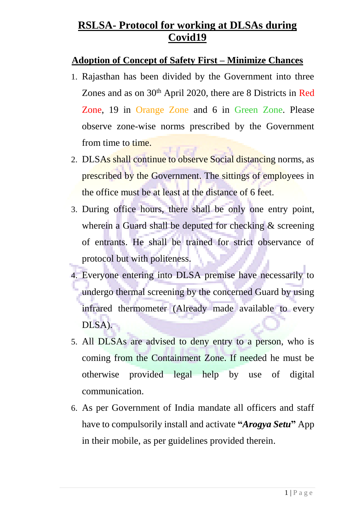#### **Adoption of Concept of Safety First – Minimize Chances**

- 1. Rajasthan has been divided by the Government into three Zones and as on 30<sup>th</sup> April 2020, there are 8 Districts in Red Zone, 19 in Orange Zone and 6 in Green Zone. Please observe zone-wise norms prescribed by the Government from time to time.
- 2. DLSAs shall continue to observe Social distancing norms, as prescribed by the Government. The sittings of employees in the office must be at least at the distance of 6 feet.
- 3. During office hours, there shall be only one entry point, wherein a Guard shall be deputed for checking & screening of entrants. He shall be trained for strict observance of protocol but with politeness.
- 4. Everyone entering into DLSA premise have necessarily to undergo thermal screening by the concerned Guard by using infrared thermometer (Already made available to every DLSA).
- 5. All DLSAs are advised to deny entry to a person, who is coming from the Containment Zone. If needed he must be otherwise provided legal help by use of digital communication.
- 6. As per Government of India mandate all officers and staff have to compulsorily install and activate **"***Arogya Setu***"** App in their mobile, as per guidelines provided therein.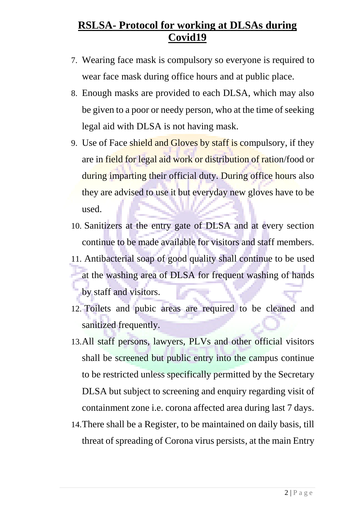- 7. Wearing face mask is compulsory so everyone is required to wear face mask during office hours and at public place.
- 8. Enough masks are provided to each DLSA, which may also be given to a poor or needy person, who at the time of seeking legal aid with DLSA is not having mask.
- 9. Use of Face shield and Gloves by staff is compulsory, if they are in field for legal aid work or distribution of ration/food or during imparting their official duty. During office hours also they are advised to use it but everyday new gloves have to be used.
- 10. Sanitizers at the entry gate of DLSA and at every section continue to be made available for visitors and staff members.
- 11. Antibacterial soap of good quality shall continue to be used at the washing area of DLSA for frequent washing of hands by staff and visitors.
- 12. Toilets and pubic areas are required to be cleaned and sanitized frequently.
- 13.All staff persons, lawyers, PLVs and other official visitors shall be screened but public entry into the campus continue to be restricted unless specifically permitted by the Secretary DLSA but subject to screening and enquiry regarding visit of containment zone i.e. corona affected area during last 7 days.
- 14.There shall be a Register, to be maintained on daily basis, till threat of spreading of Corona virus persists, at the main Entry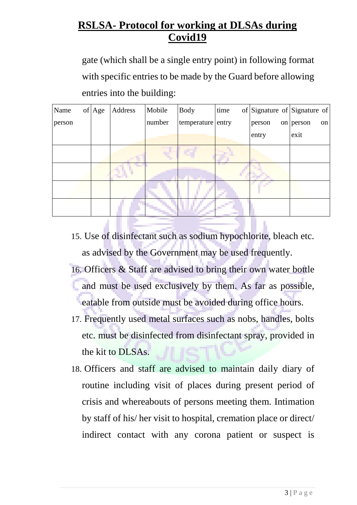gate (which shall be a single entry point) in following format with specific entries to be made by the Guard before allowing entries into the building:

| Name   | of | Age | Address | Mobile | <b>Body</b>       | time | of Signature of Signature of |             |    |
|--------|----|-----|---------|--------|-------------------|------|------------------------------|-------------|----|
| person |    |     |         | number | temperature entry |      | person                       | on $person$ | on |
|        |    |     |         |        |                   |      | entry                        | exit        |    |
|        |    |     |         |        |                   |      |                              |             |    |
|        |    |     |         |        |                   |      |                              |             |    |
|        |    |     |         |        |                   |      |                              |             |    |
|        |    |     |         |        |                   |      |                              |             |    |

15. Use of disinfectant such as sodium hypochlorite, bleach etc. as advised by the Government may be used frequently.

- 16. Officers & Staff are advised to bring their own water bottle and must be used exclusively by them. As far as possible, eatable from outside must be avoided during office hours.
- 17. Frequently used metal surfaces such as nobs, handles, bolts etc. must be disinfected from disinfectant spray, provided in the kit to DLSAs.
- 18. Officers and staff are advised to maintain daily diary of routine including visit of places during present period of crisis and whereabouts of persons meeting them. Intimation by staff of his/ her visit to hospital, cremation place or direct/ indirect contact with any corona patient or suspect is